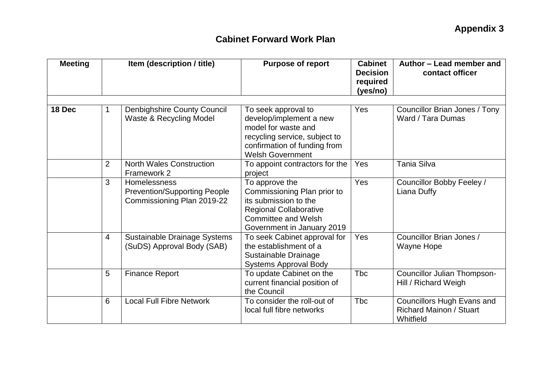| <b>Meeting</b> |                | Item (description / title)                                                               | <b>Purpose of report</b>                                                                                                                                          | <b>Cabinet</b><br><b>Decision</b><br>required<br>(yes/no) | Author - Lead member and<br>contact officer                                      |  |
|----------------|----------------|------------------------------------------------------------------------------------------|-------------------------------------------------------------------------------------------------------------------------------------------------------------------|-----------------------------------------------------------|----------------------------------------------------------------------------------|--|
| 18 Dec         | 1              | <b>Denbighshire County Council</b><br>Waste & Recycling Model                            | To seek approval to<br>develop/implement a new<br>model for waste and<br>recycling service, subject to<br>confirmation of funding from<br><b>Welsh Government</b> | Yes                                                       | Councillor Brian Jones / Tony<br>Ward / Tara Dumas                               |  |
|                | $\overline{2}$ | <b>North Wales Construction</b><br>Framework 2                                           | To appoint contractors for the<br>project                                                                                                                         | <b>Yes</b>                                                | Tania Silva                                                                      |  |
|                | 3              | <b>Homelessness</b><br><b>Prevention/Supporting People</b><br>Commissioning Plan 2019-22 | To approve the<br>Commissioning Plan prior to<br>its submission to the<br><b>Regional Collaborative</b><br>Committee and Welsh<br>Government in January 2019      | Yes                                                       | Councillor Bobby Feeley /<br>Liana Duffy                                         |  |
|                | $\overline{4}$ | Sustainable Drainage Systems<br>(SuDS) Approval Body (SAB)                               | To seek Cabinet approval for<br>the establishment of a<br>Sustainable Drainage<br><b>Systems Approval Body</b>                                                    | Yes                                                       | Councillor Brian Jones /<br>Wayne Hope                                           |  |
|                | 5              | <b>Finance Report</b>                                                                    | To update Cabinet on the<br>current financial position of<br>the Council                                                                                          | Tbc                                                       | <b>Councillor Julian Thompson-</b><br>Hill / Richard Weigh                       |  |
|                | 6              | <b>Local Full Fibre Network</b>                                                          | To consider the roll-out of<br>local full fibre networks                                                                                                          | <b>T</b> bc                                               | <b>Councillors Hugh Evans and</b><br><b>Richard Mainon / Stuart</b><br>Whitfield |  |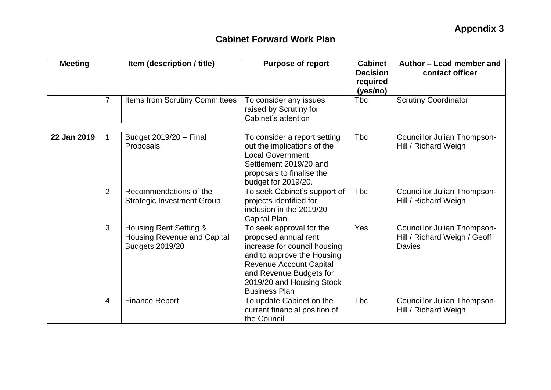| <b>Meeting</b> | Item (description / title) |                                                                                 | <b>Purpose of report</b>                                                                                                                                                                                                         | <b>Cabinet</b><br><b>Decision</b><br>required<br>(yes/no) | Author - Lead member and<br>contact officer                                         |  |
|----------------|----------------------------|---------------------------------------------------------------------------------|----------------------------------------------------------------------------------------------------------------------------------------------------------------------------------------------------------------------------------|-----------------------------------------------------------|-------------------------------------------------------------------------------------|--|
|                | $\overline{7}$             | <b>Items from Scrutiny Committees</b>                                           | To consider any issues<br>raised by Scrutiny for<br>Cabinet's attention                                                                                                                                                          | <b>T</b> bc                                               | <b>Scrutiny Coordinator</b>                                                         |  |
|                |                            |                                                                                 |                                                                                                                                                                                                                                  |                                                           |                                                                                     |  |
| 22 Jan 2019    | 1.                         | Budget 2019/20 - Final<br>Proposals                                             | To consider a report setting<br>out the implications of the<br><b>Local Government</b><br>Settlement 2019/20 and<br>proposals to finalise the<br>budget for 2019/20.                                                             | <b>Tbc</b>                                                | Councillor Julian Thompson-<br>Hill / Richard Weigh                                 |  |
|                | $\overline{2}$             | Recommendations of the<br><b>Strategic Investment Group</b>                     | To seek Cabinet's support of<br>projects identified for<br>inclusion in the 2019/20<br>Capital Plan.                                                                                                                             | Tbc                                                       | Councillor Julian Thompson-<br>Hill / Richard Weigh                                 |  |
|                | 3                          | Housing Rent Setting &<br>Housing Revenue and Capital<br><b>Budgets 2019/20</b> | To seek approval for the<br>proposed annual rent<br>increase for council housing<br>and to approve the Housing<br><b>Revenue Account Capital</b><br>and Revenue Budgets for<br>2019/20 and Housing Stock<br><b>Business Plan</b> | Yes                                                       | <b>Councillor Julian Thompson-</b><br>Hill / Richard Weigh / Geoff<br><b>Davies</b> |  |
|                | 4                          | <b>Finance Report</b>                                                           | To update Cabinet on the<br>current financial position of<br>the Council                                                                                                                                                         | <b>T</b> bc                                               | Councillor Julian Thompson-<br>Hill / Richard Weigh                                 |  |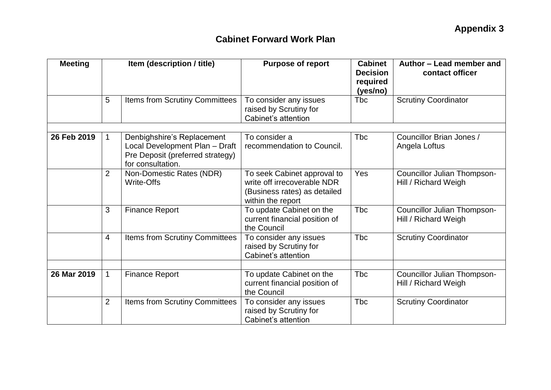| <b>Meeting</b> | Item (description / title) |                                                                                                                       | <b>Purpose of report</b>                                                                                        | <b>Cabinet</b><br><b>Decision</b><br>required<br>(yes/no) | Author - Lead member and<br>contact officer                |  |
|----------------|----------------------------|-----------------------------------------------------------------------------------------------------------------------|-----------------------------------------------------------------------------------------------------------------|-----------------------------------------------------------|------------------------------------------------------------|--|
|                | 5                          | Items from Scrutiny Committees                                                                                        | To consider any issues<br>raised by Scrutiny for<br>Cabinet's attention                                         | Tbc                                                       | <b>Scrutiny Coordinator</b>                                |  |
| 26 Feb 2019    | 1                          | Denbighshire's Replacement<br>Local Development Plan - Draft<br>Pre Deposit (preferred strategy)<br>for consultation. | To consider a<br>recommendation to Council.                                                                     | <b>T</b> bc                                               | Councillor Brian Jones /<br>Angela Loftus                  |  |
|                | 2                          | Non-Domestic Rates (NDR)<br><b>Write-Offs</b>                                                                         | To seek Cabinet approval to<br>write off irrecoverable NDR<br>(Business rates) as detailed<br>within the report | Yes                                                       | <b>Councillor Julian Thompson-</b><br>Hill / Richard Weigh |  |
|                | 3                          | <b>Finance Report</b>                                                                                                 | To update Cabinet on the<br>current financial position of<br>the Council                                        | <b>T</b> bc                                               | <b>Councillor Julian Thompson-</b><br>Hill / Richard Weigh |  |
|                | 4                          | Items from Scrutiny Committees                                                                                        | To consider any issues<br>raised by Scrutiny for<br>Cabinet's attention                                         | <b>Tbc</b>                                                | <b>Scrutiny Coordinator</b>                                |  |
| 26 Mar 2019    | $\mathbf{1}$               | <b>Finance Report</b>                                                                                                 | To update Cabinet on the<br>current financial position of<br>the Council                                        | <b>Tbc</b>                                                | Councillor Julian Thompson-<br>Hill / Richard Weigh        |  |
|                | $\overline{2}$             | Items from Scrutiny Committees                                                                                        | To consider any issues<br>raised by Scrutiny for<br>Cabinet's attention                                         | <b>T</b> bc                                               | <b>Scrutiny Coordinator</b>                                |  |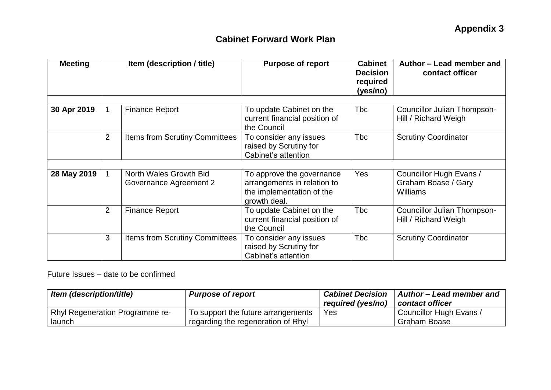| <b>Meeting</b> |                | Item (description / title)                       | <b>Purpose of report</b>                                                                              | <b>Cabinet</b><br><b>Decision</b><br>required<br>(yes/no) | Author – Lead member and<br>contact officer                       |  |
|----------------|----------------|--------------------------------------------------|-------------------------------------------------------------------------------------------------------|-----------------------------------------------------------|-------------------------------------------------------------------|--|
|                |                |                                                  |                                                                                                       |                                                           |                                                                   |  |
| 30 Apr 2019    |                | <b>Finance Report</b>                            | To update Cabinet on the<br>current financial position of<br>the Council                              | <b>Tbc</b>                                                | <b>Councillor Julian Thompson-</b><br>Hill / Richard Weigh        |  |
|                | $\overline{2}$ | <b>Items from Scrutiny Committees</b>            | To consider any issues<br>raised by Scrutiny for<br>Cabinet's attention                               | <b>Tbc</b>                                                | <b>Scrutiny Coordinator</b>                                       |  |
|                |                |                                                  |                                                                                                       |                                                           |                                                                   |  |
| 28 May 2019    |                | North Wales Growth Bid<br>Governance Agreement 2 | To approve the governance<br>arrangements in relation to<br>the implementation of the<br>growth deal. | Yes                                                       | Councillor Hugh Evans /<br>Graham Boase / Gary<br><b>Williams</b> |  |
|                | 2              | <b>Finance Report</b>                            | To update Cabinet on the<br>current financial position of<br>the Council                              | <b>Tbc</b>                                                | Councillor Julian Thompson-<br>Hill / Richard Weigh               |  |
|                | 3              | Items from Scrutiny Committees                   | To consider any issues<br>raised by Scrutiny for<br>Cabinet's attention                               | <b>Tbc</b>                                                | <b>Scrutiny Coordinator</b>                                       |  |

Future Issues – date to be confirmed

| Item (description/title)               | <b>Purpose of report</b>           | <b>Cabinet Decision</b><br>required (yes/no) | Author - Lead member and<br>contact officer |
|----------------------------------------|------------------------------------|----------------------------------------------|---------------------------------------------|
| <b>Rhyl Regeneration Programme re-</b> | To support the future arrangements | Yes                                          | Councillor Hugh Evans /                     |
| launch                                 | regarding the regeneration of Rhyl |                                              | Graham Boase                                |